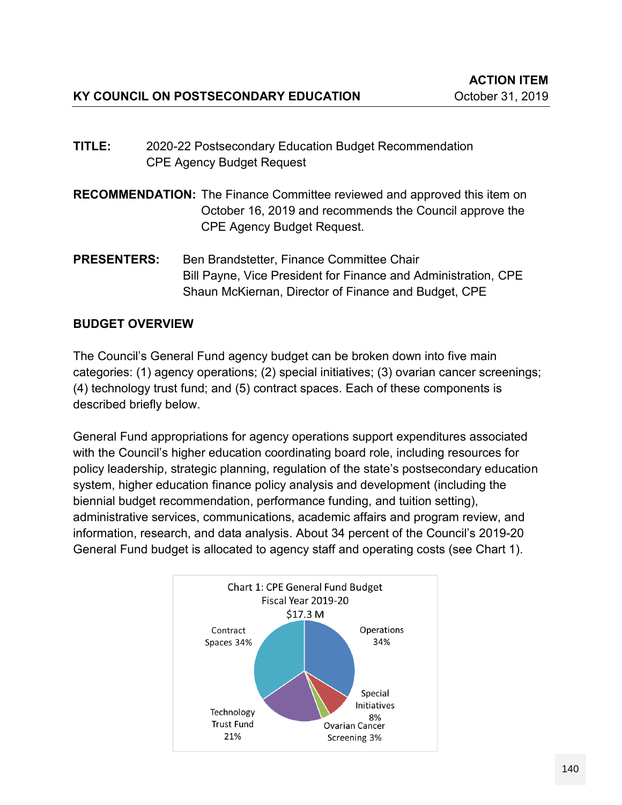- **TITLE:** 2020-22 Postsecondary Education Budget Recommendation CPE Agency Budget Request
- **RECOMMENDATION:** The Finance Committee reviewed and approved this item on October 16, 2019 and recommends the Council approve the CPE Agency Budget Request.
- **PRESENTERS:** Ben Brandstetter, Finance Committee Chair Bill Payne, Vice President for Finance and Administration, CPE Shaun McKiernan, Director of Finance and Budget, CPE

# **BUDGET OVERVIEW**

The Council's General Fund agency budget can be broken down into five main categories: (1) agency operations; (2) special initiatives; (3) ovarian cancer screenings; (4) technology trust fund; and (5) contract spaces. Each of these components is described briefly below.

General Fund appropriations for agency operations support expenditures associated with the Council's higher education coordinating board role, including resources for policy leadership, strategic planning, regulation of the state's postsecondary education system, higher education finance policy analysis and development (including the biennial budget recommendation, performance funding, and tuition setting), administrative services, communications, academic affairs and program review, and information, research, and data analysis. About 34 percent of the Council's 2019-20 General Fund budget is allocated to agency staff and operating costs (see Chart 1).

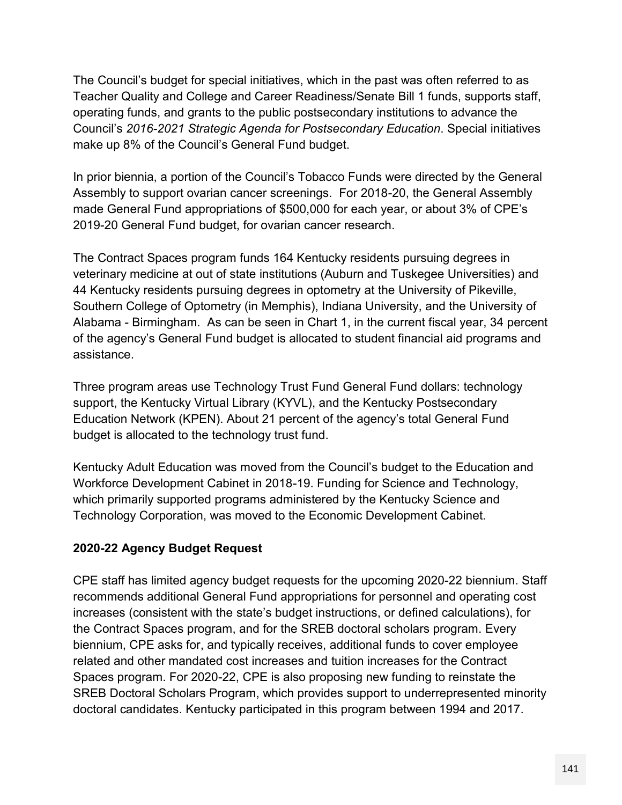The Council's budget for special initiatives, which in the past was often referred to as Teacher Quality and College and Career Readiness/Senate Bill 1 funds, supports staff, operating funds, and grants to the public postsecondary institutions to advance the Council's *2016-2021 Strategic Agenda for Postsecondary Education*. Special initiatives make up 8% of the Council's General Fund budget.

In prior biennia, a portion of the Council's Tobacco Funds were directed by the General Assembly to support ovarian cancer screenings. For 2018-20, the General Assembly made General Fund appropriations of \$500,000 for each year, or about 3% of CPE's 2019-20 General Fund budget, for ovarian cancer research.

The Contract Spaces program funds 164 Kentucky residents pursuing degrees in veterinary medicine at out of state institutions (Auburn and Tuskegee Universities) and 44 Kentucky residents pursuing degrees in optometry at the University of Pikeville, Southern College of Optometry (in Memphis), Indiana University, and the University of Alabama - Birmingham. As can be seen in Chart 1, in the current fiscal year, 34 percent of the agency's General Fund budget is allocated to student financial aid programs and assistance.

Three program areas use Technology Trust Fund General Fund dollars: technology support, the Kentucky Virtual Library (KYVL), and the Kentucky Postsecondary Education Network (KPEN). About 21 percent of the agency's total General Fund budget is allocated to the technology trust fund.

Kentucky Adult Education was moved from the Council's budget to the Education and Workforce Development Cabinet in 2018-19. Funding for Science and Technology, which primarily supported programs administered by the Kentucky Science and Technology Corporation, was moved to the Economic Development Cabinet.

# **2020-22 Agency Budget Request**

CPE staff has limited agency budget requests for the upcoming 2020-22 biennium. Staff recommends additional General Fund appropriations for personnel and operating cost increases (consistent with the state's budget instructions, or defined calculations), for the Contract Spaces program, and for the SREB doctoral scholars program. Every biennium, CPE asks for, and typically receives, additional funds to cover employee related and other mandated cost increases and tuition increases for the Contract Spaces program. For 2020-22, CPE is also proposing new funding to reinstate the SREB Doctoral Scholars Program, which provides support to underrepresented minority doctoral candidates. Kentucky participated in this program between 1994 and 2017.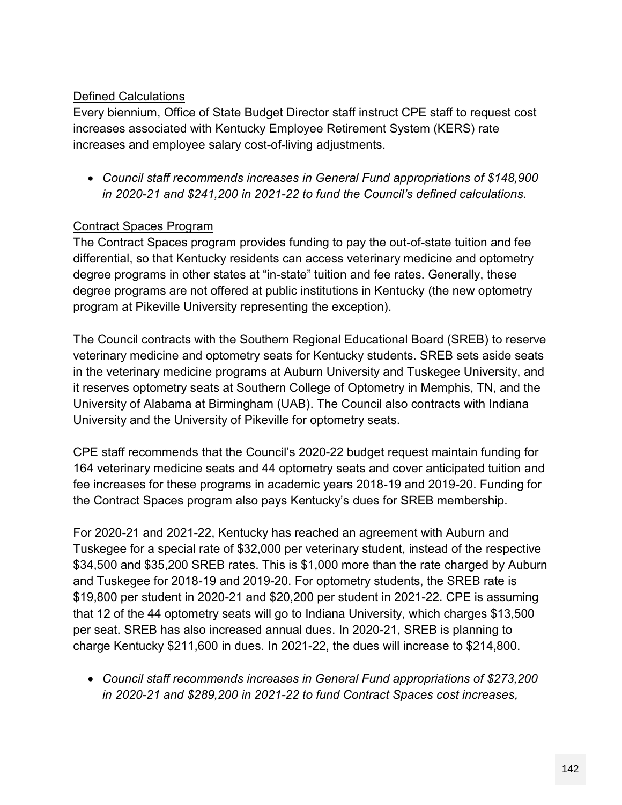### Defined Calculations

Every biennium, Office of State Budget Director staff instruct CPE staff to request cost increases associated with Kentucky Employee Retirement System (KERS) rate increases and employee salary cost-of-living adjustments.

 *Council staff recommends increases in General Fund appropriations of \$148,900 in 2020-21 and \$241,200 in 2021-22 to fund the Council's defined calculations.*

#### Contract Spaces Program

The Contract Spaces program provides funding to pay the out-of-state tuition and fee differential, so that Kentucky residents can access veterinary medicine and optometry degree programs in other states at "in-state" tuition and fee rates. Generally, these degree programs are not offered at public institutions in Kentucky (the new optometry program at Pikeville University representing the exception).

The Council contracts with the Southern Regional Educational Board (SREB) to reserve veterinary medicine and optometry seats for Kentucky students. SREB sets aside seats in the veterinary medicine programs at Auburn University and Tuskegee University, and it reserves optometry seats at Southern College of Optometry in Memphis, TN, and the University of Alabama at Birmingham (UAB). The Council also contracts with Indiana University and the University of Pikeville for optometry seats.

CPE staff recommends that the Council's 2020-22 budget request maintain funding for 164 veterinary medicine seats and 44 optometry seats and cover anticipated tuition and fee increases for these programs in academic years 2018-19 and 2019-20. Funding for the Contract Spaces program also pays Kentucky's dues for SREB membership.

For 2020-21 and 2021-22, Kentucky has reached an agreement with Auburn and Tuskegee for a special rate of \$32,000 per veterinary student, instead of the respective \$34,500 and \$35,200 SREB rates. This is \$1,000 more than the rate charged by Auburn and Tuskegee for 2018-19 and 2019-20. For optometry students, the SREB rate is \$19,800 per student in 2020-21 and \$20,200 per student in 2021-22. CPE is assuming that 12 of the 44 optometry seats will go to Indiana University, which charges \$13,500 per seat. SREB has also increased annual dues. In 2020-21, SREB is planning to charge Kentucky \$211,600 in dues. In 2021-22, the dues will increase to \$214,800.

 *Council staff recommends increases in General Fund appropriations of \$273,200 in 2020-21 and \$289,200 in 2021-22 to fund Contract Spaces cost increases,*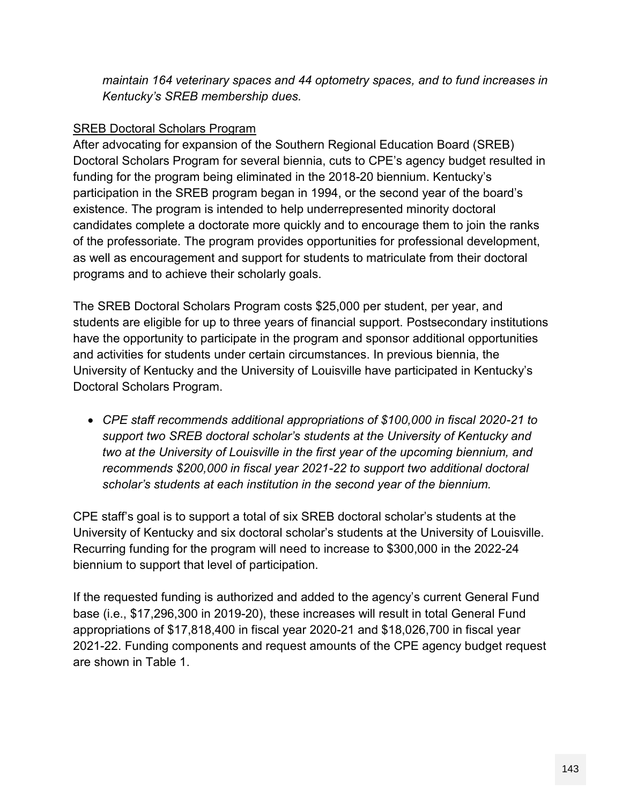*maintain 164 veterinary spaces and 44 optometry spaces, and to fund increases in Kentucky's SREB membership dues.*

### SREB Doctoral Scholars Program

After advocating for expansion of the Southern Regional Education Board (SREB) Doctoral Scholars Program for several biennia, cuts to CPE's agency budget resulted in funding for the program being eliminated in the 2018-20 biennium. Kentucky's participation in the SREB program began in 1994, or the second year of the board's existence. The program is intended to help underrepresented minority doctoral candidates complete a doctorate more quickly and to encourage them to join the ranks of the professoriate. The program provides opportunities for professional development, as well as encouragement and support for students to matriculate from their doctoral programs and to achieve their scholarly goals.

The SREB Doctoral Scholars Program costs \$25,000 per student, per year, and students are eligible for up to three years of financial support. Postsecondary institutions have the opportunity to participate in the program and sponsor additional opportunities and activities for students under certain circumstances. In previous biennia, the University of Kentucky and the University of Louisville have participated in Kentucky's Doctoral Scholars Program.

 *CPE staff recommends additional appropriations of \$100,000 in fiscal 2020-21 to support two SREB doctoral scholar's students at the University of Kentucky and two at the University of Louisville in the first year of the upcoming biennium, and recommends \$200,000 in fiscal year 2021-22 to support two additional doctoral scholar's students at each institution in the second year of the biennium.*

CPE staff's goal is to support a total of six SREB doctoral scholar's students at the University of Kentucky and six doctoral scholar's students at the University of Louisville. Recurring funding for the program will need to increase to \$300,000 in the 2022-24 biennium to support that level of participation.

If the requested funding is authorized and added to the agency's current General Fund base (i.e., \$17,296,300 in 2019-20), these increases will result in total General Fund appropriations of \$17,818,400 in fiscal year 2020-21 and \$18,026,700 in fiscal year 2021-22. Funding components and request amounts of the CPE agency budget request are shown in Table 1.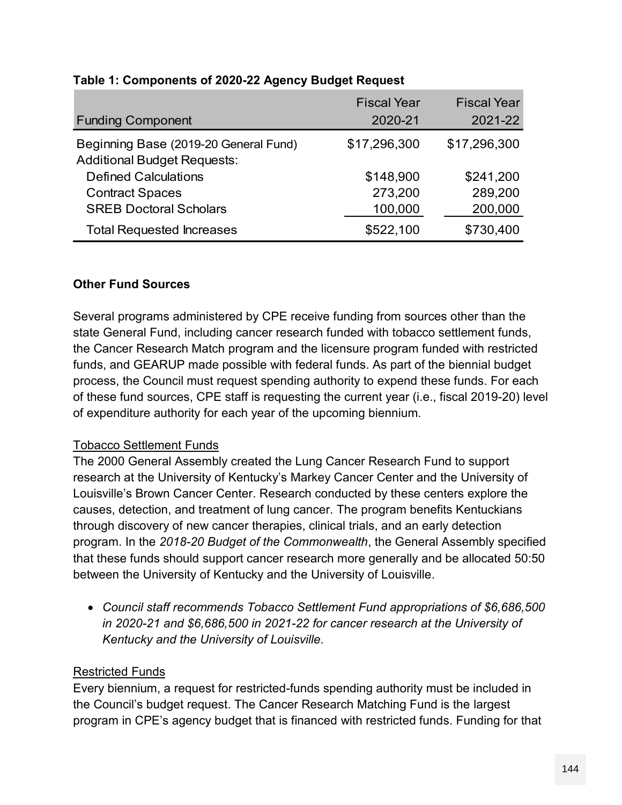|                                                                             | <b>Fiscal Year</b> | <b>Fiscal Year</b> |
|-----------------------------------------------------------------------------|--------------------|--------------------|
| <b>Funding Component</b>                                                    | 2020-21            | 2021-22            |
| Beginning Base (2019-20 General Fund)<br><b>Additional Budget Requests:</b> | \$17,296,300       | \$17,296,300       |
| <b>Defined Calculations</b>                                                 | \$148,900          | \$241,200          |
| <b>Contract Spaces</b>                                                      | 273,200            | 289,200            |
| <b>SREB Doctoral Scholars</b>                                               | 100,000            | 200,000            |
| <b>Total Requested Increases</b>                                            | \$522,100          | \$730,400          |
|                                                                             |                    |                    |

#### **Table 1: Components of 2020-22 Agency Budget Request**

#### **Other Fund Sources**

Several programs administered by CPE receive funding from sources other than the state General Fund, including cancer research funded with tobacco settlement funds, the Cancer Research Match program and the licensure program funded with restricted funds, and GEARUP made possible with federal funds. As part of the biennial budget process, the Council must request spending authority to expend these funds. For each of these fund sources, CPE staff is requesting the current year (i.e., fiscal 2019-20) level of expenditure authority for each year of the upcoming biennium.

# Tobacco Settlement Funds

The 2000 General Assembly created the Lung Cancer Research Fund to support research at the University of Kentucky's Markey Cancer Center and the University of Louisville's Brown Cancer Center. Research conducted by these centers explore the causes, detection, and treatment of lung cancer. The program benefits Kentuckians through discovery of new cancer therapies, clinical trials, and an early detection program. In the *2018-20 Budget of the Commonwealth*, the General Assembly specified that these funds should support cancer research more generally and be allocated 50:50 between the University of Kentucky and the University of Louisville.

 *Council staff recommends Tobacco Settlement Fund appropriations of \$6,686,500 in 2020-21 and \$6,686,500 in 2021-22 for cancer research at the University of Kentucky and the University of Louisville.*

# Restricted Funds

Every biennium, a request for restricted-funds spending authority must be included in the Council's budget request. The Cancer Research Matching Fund is the largest program in CPE's agency budget that is financed with restricted funds. Funding for that